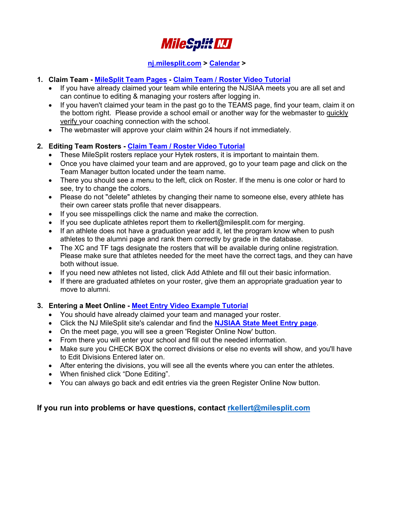

## **[nj.milesplit.com](http://nj.milesplit.com/) > [Calendar](http://nj.milesplit.com/calendar) >**

- **1. Claim Team - [MileSplit Team Pages](http://nj.milesplit.com/teams) - [Claim Team / Roster Video Tutorial](https://www.youtube.com/watch?v=pAs1Tt8hN18)**
	- If you have already claimed your team while entering the NJSIAA meets you are all set and can continue to editing & managing your rosters after logging in.
	- If you haven't claimed your team in the past go to the TEAMS page, find your team, claim it on the bottom right. Please provide a school email or another way for the webmaster to quickly verify your coaching connection with the school.
	- The webmaster will approve your claim within 24 hours if not immediately.

### **2. Editing Team Rosters - [Claim Team / Roster Video Tutorial](https://www.youtube.com/watch?v=pAs1Tt8hN18)**

- These MileSplit rosters replace your Hytek rosters, it is important to maintain them.
- Once you have claimed your team and are approved, go to your team page and click on the Team Manager button located under the team name.
- There you should see a menu to the left, click on Roster. If the menu is one color or hard to see, try to change the colors.
- Please do not "delete" athletes by changing their name to someone else, every athlete has their own career stats profile that never disappears.
- If you see misspellings click the name and make the correction.
- If you see duplicate athletes report them to rkellert@milesplit.com for merging.
- If an athlete does not have a graduation year add it, let the program know when to push athletes to the alumni page and rank them correctly by grade in the database.
- The XC and TF tags designate the rosters that will be available during online registration. Please make sure that athletes needed for the meet have the correct tags, and they can have both without issue.
- If you need new athletes not listed, click Add Athlete and fill out their basic information.
- If there are graduated athletes on your roster, give them an appropriate graduation year to move to alumni.

#### **3. Entering a Meet Online - [Meet Entry Video Example Tutorial](https://www.youtube.com/watch?v=plOJ8Et0zZs)**

- You should have already claimed your team and managed your roster.
- Click the NJ MileSplit site's calendar and find the **[NJSIAA State Meet Entry page](http://nj.milesplit.com/meets/248625/info#.V5j-GvkrJhE)**.
- On the meet page, you will see a green 'Register Online Now' button.
- From there you will enter your school and fill out the needed information.
- Make sure you CHECK BOX the correct divisions or else no events will show, and you'll have to Edit Divisions Entered later on.
- After entering the divisions, you will see all the events where you can enter the athletes.
- When finished click "Done Editing".
- You can always go back and edit entries via the green Register Online Now button.

## **If you run into problems or have questions, contact [rkellert@milesplit.com](mailto:rkellert@milesplit.com)**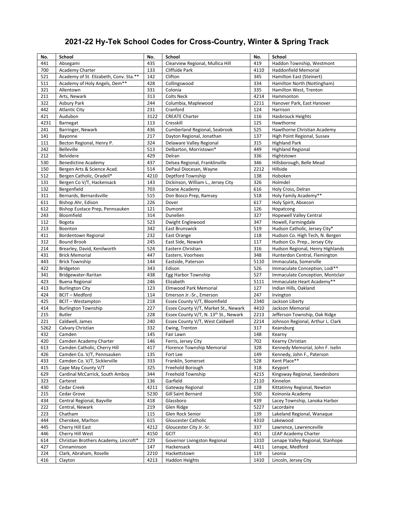# **2021-22 Hy-Tek School Codes for Cross-Country, Winter & Spring Track**

| No.  | School                                 | No.  | School                                            | No.  | School                            |
|------|----------------------------------------|------|---------------------------------------------------|------|-----------------------------------|
| 441  | Absegami                               | 435  | Clearview Regional, Mullica Hill                  | 419  | Haddon Township, Westmont         |
| 700  | Academy Charter                        | 133  | Cliffside Park                                    | 4110 | Haddonfield Memorial              |
| 521  | Academy of St. Elizabeth, Conv. Sta.** | 142  | Clifton                                           | 345  | Hamilton East (Steinert)          |
| 511  | Academy of Holy Angels, Dem**          | 428  | Collingswood                                      | 334  | Hamilton North (Nottingham)       |
| 321  | Allentown                              | 331  | Colonia                                           | 335  | Hamilton West, Trenton            |
| 211  | Arts, Newark                           | 313  | <b>Colts Neck</b>                                 | 4214 | Hammonton                         |
| 322  | Asbury Park                            | 244  | Columbia, Maplewood                               | 2211 | Hanover Park, East Hanover        |
| 442  | <b>Atlantic City</b>                   | 231  | Cranford                                          | 124  | Harrison                          |
| 421  | Audubon                                | 3122 | <b>CREATE Charter</b>                             | 116  | <b>Hasbrouck Heights</b>          |
| 4231 | Barnegat                               | 113  | Cresskill                                         | 125  | Hawthorne                         |
| 241  | Barringer, Newark                      | 436  | Cumberland Regional, Seabrook                     | 525  | Hawthorne Christian Academy       |
| 141  | Bayonne                                | 217  | Dayton Regional, Jonathan                         | 137  | High Point Regional, Sussex       |
| 111  | Becton Regional, Henry P.              | 324  | Delaware Valley Regional                          | 315  | <b>Highland Park</b>              |
| 242  | Belleville                             | 513  | Delbarton, Morristown*                            | 449  | <b>Highland Regional</b>          |
| 212  | Belvidere                              | 429  | Delran                                            | 336  | Hightstown                        |
| 530  | <b>Benedictine Academy</b>             | 437  | Delsea Regional, Franklinville                    | 346  | Hillsborough, Belle Mead          |
| 150  | Bergen Arts & Science Acad.            | 514  | DePaul Diocesan, Wayne                            | 2212 | Hillside                          |
| 512  | Bergen Catholic, Oradell*              | 4210 | Deptford Township                                 | 138  | Hoboken                           |
| 131  | Bergen Co V/T, Hackensack              | 143  | Dickinson, William L., Jersey City                | 326  | Holmdel                           |
| 132  | Bergenfield                            | 703  | Doane Academy                                     | 616  | Holy Cross, Delran                |
| 311  | Bernards, Bernardsville                | 515  | Don Bosco Prep, Ramsey                            | 518  | Holy Family Academy**             |
| 611  | Bishop Ahr, Edison                     | 226  | Dover                                             | 617  | Holy Spirit, Absecon              |
| 612  | Bishop Eustace Prep, Pennsauken        | 121  | Dumont                                            | 126  | Hopatcong                         |
| 243  | Bloomfield                             | 314  | Dunellen                                          | 327  | <b>Hopewell Valley Central</b>    |
| 112  | Bogota                                 | 523  | Dwight Englewood                                  | 347  | Howell, Farmingdale               |
| 213  | Boonton                                | 342  | East Brunswick                                    | 519  | Hudson Catholic, Jersey City*     |
| 411  | Bordentown Regional                    | 232  | East Orange                                       | 118  | Hudson Co. High Tech, N. Bergen   |
| 312  | <b>Bound Brook</b>                     | 245  | East Side, Newark                                 | 117  | Hudson Co. Prep., Jersey City     |
| 214  | Brearley, David, Kenilworth            | 524  | Eastern Christian                                 | 316  | Hudson Regional, Henry Highlands  |
| 431  | <b>Brick Memorial</b>                  | 447  | Eastern, Voorhees                                 | 348  | Hunterdon Central, Flemington     |
| 443  | <b>Brick Township</b>                  | 144  | Eastside, Paterson                                | 5110 | Immaculata, Somerville            |
| 422  | Bridgeton                              | 343  | Edison                                            | 526  | Immaculate Conception, Lodi**     |
| 341  | Bridgewater-Raritan                    | 438  | Egg Harbor Township                               | 527  | Immaculate Conception, Montclair  |
| 423  | <b>Buena Regional</b>                  | 246  | Elizabeth                                         | 5111 | Immaculate Heart Academy**        |
| 413  | <b>Burlington City</b>                 | 123  | Elmwood Park Memorial                             | 127  | Indian Hills, Oakland             |
| 424  | <b>BCIT-Medford</b>                    | 114  | Emerson Jr.-Sr., Emerson                          | 247  | Irvington                         |
| 425  | <b>BCIT - Westampton</b>               | 218  | Essex County V/T, Bloomfield                      | 2340 | Jackson Liberty                   |
| 414  | <b>Burlington Township</b>             | 227  | Essex County V/T, Market St., Newark              | 4410 | Jackson Memorial                  |
| 215  | <b>Butler</b>                          | 228  | Essex County V/T, N. 13 <sup>th</sup> St., Newark | 2213 | Jefferson Township, Oak Ridge     |
| 221  | Caldwell, James                        | 240  | Essex County V/T, West Caldwell                   | 2214 | Johnson Regional, Arthur L. Clark |
| 5262 | Calvary Christian                      | 332  | Ewing, Trenton                                    | 317  | Keansburg                         |
| 432  | Camden                                 | 145  | Fair Lawn                                         | 148  | Kearny                            |
| 420  | Camden Academy Charter                 | 146  | Ferris, Jersey City                               | 702  | Kearny Christian                  |
| 613  | Camden Catholic, Cherry Hill           | 417  | Florence Township Memorial                        | 328  | Kennedy Memorial, John F. Iselin  |
| 426  | Camden Co. V/T, Pennsauken             | 135  | Fort Lee                                          | 149  | Kennedy, John F., Paterson        |
| 433  | Camden Co. V/T, Sicklerville           | 333  | Franklin, Somerset                                | 528  | Kent Place**                      |
| 415  | Cape May County V/T                    | 325  | Freehold Borough                                  | 318  | Keyport                           |
| 629  | Cardinal McCarrick, South Amboy        | 344  | Freehold Township                                 | 4215 | Kingsway Regional, Swedesboro     |
| 323  | Carteret                               | 136  | Garfield                                          | 2110 | Kinnelon                          |
| 430  | Cedar Creek                            | 4211 | Gateway Regional                                  | 128  | Kittatinny Regional, Newton       |
| 215  | Cedar Grove                            | 5230 | Gill Saint Bernard                                | 550  | Koinonia Academy                  |
| 434  | Central Regional, Bayville             | 418  | Glassboro                                         | 439  | Lacey Township, Lanoka Harbor     |
| 222  | Central, Newark                        | 219  | Glen Ridge                                        | 5227 | Lacordaire                        |
| 223  | Chatham                                | 115  | Glen Rock Senior                                  | 139  | Lakeland Regional, Wanaque        |
| 444  | Cherokee, Marlton                      | 615  | Gloucester Catholic                               | 4310 | Lakewood                          |
| 445  | Cherry Hill East                       | 4212 | Gloucester City Jr.-Sr.                           | 337  | Lawrence, Lawrenceville           |
| 446  | Cherry Hill West                       | 4150 | <b>GCIT</b>                                       | 451  | LEAP Academy Charter              |
| 614  | Christian Brothers Academy, Lincroft*  | 229  | Governor Livingston Regional                      | 1310 | Lenape Valley Regional, Stanhope  |
| 427  | Cinnaminson                            | 147  | Hackensack                                        | 4411 | Lenape, Medford                   |
| 224  | Clark, Abraham, Roselle                | 2210 | Hackettstown                                      | 119  | Leonia                            |
| 416  | Clayton                                | 4213 | Haddon Heights                                    | 1410 | Lincoln, Jersey City              |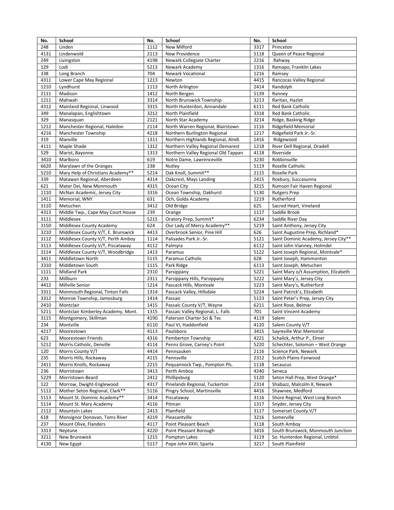| No.  | School                             | No.  | School                              | No.  | School                               |
|------|------------------------------------|------|-------------------------------------|------|--------------------------------------|
| 248  | Linden                             | 1112 | New Milford                         | 3317 | Princeton                            |
| 4131 | Lindenwold                         | 2113 | New Providence                      | 5118 | Queen of Peace Regional              |
| 249  | Livingston                         | 4198 | Newark Collegiate Charter           | 2216 | Rahway                               |
| 129  | Lodi                               | 5213 | Newark Academy                      | 1316 | Ramapo, Franklin Lakes               |
| 338  | Long Branch                        | 704  | <b>Newark Vocational</b>            | 1216 | Ramsey                               |
| 4311 | Lower Cape May Regional            | 1213 | Newton                              | 4415 | Rancocas Valley Regional             |
| 1210 | Lyndhurst                          | 1113 | North Arlington                     | 2414 | Randolph                             |
| 2111 | Madison                            | 1412 | North Bergen                        | 5139 | Ranney                               |
| 1211 | Mahwah                             | 3314 | North Brunswick Township            | 3213 | Raritan, Hazlet                      |
| 4312 | Mainland Regional, Linwood         | 3315 | North Hunterdon, Annandale          | 6111 | Red Bank Catholic                    |
| 349  | Manalapan, Englishtown             | 3212 | North Plainfield                    | 3318 | <b>Red Bank Catholic</b>             |
| 329  | Manasquan                          | 2121 | North Star Academy                  | 3214 | Ridge, Basking Ridge                 |
| 1212 | Manchester Regional, Haledon       | 2114 | North Warren Regional, Blairstown   | 1116 | <b>Ridgefield Memorial</b>           |
| 4216 | Manchester Township                | 4218 | Northern Burlington Regional        | 1217 | Ridgefield Park Jr.-Sr.              |
| 319  | Manville                           | 1311 | Northern Highlands Regional, Alndl. | 1416 | Ridgewood                            |
| 4111 | Maple Shade                        | 1312 | Northern Valley Regional Demarest   | 1218 | River Dell Regional, Oradell         |
| 529  | Marist, Bayonne                    | 1313 | Northern Valley Regional Old Tappan | 4118 | Riverside                            |
| 3410 | Marlboro                           | 619  | Notre Dame, Lawrenceville           | 3230 | Robbinsville                         |
| 6620 | Marylawn of the Oranges            | 238  | Nutley                              | 5119 | Roselle Catholic                     |
| 5210 | Mary Help of Christians Academy**  | 5214 | Oak Knoll, Summit**                 | 2115 | Roselle Park                         |
| 339  | Matawan Regional, Aberdeen         | 4314 | Oakcrest, Mays Landing              | 2415 | Roxbury, Succasunna                  |
| 621  | Mater Dei, New Monmouth            | 4315 | Ocean City                          | 3215 | Rumson Fair Haven Regional           |
| 1110 | McNair Academic, Jersey City       | 3316 | Ocean Township, Oakhurst            | 5130 | <b>Rutgers Prep</b>                  |
| 1411 | Memorial, WNY                      | 631  | Och, Golda Academy                  | 1219 | Rutherford                           |
| 3110 | Metuchen                           | 3412 | Old Bridge                          | 625  | Sacred Heart, Vineland               |
| 4313 | Middle Twp., Cape May Court House  | 239  | Orange                              | 1117 | Saddle Brook                         |
| 3111 | Middlesex                          | 5215 | Oratory Prep, Summit*               | 6234 | Saddle River Day                     |
| 3150 | Middlesex County Academy           | 624  | Our Lady of Mercy Academy**         | 5219 | Saint Anthony, Jersey City           |
| 3210 | Middlesex County V/T, E. Brunswick | 4413 | Overbrook Senior, Pine Hill         | 626  | Saint Augustine Prep, Richland*      |
| 3112 | Middlesex County V/T, Perth Amboy  | 1114 | Palisades Park Jr.-Sr.              | 5121 | Saint Dominic Academy, Jersey City** |
| 3113 | Middlesex County V/T, Piscataway   | 4112 | Palmyra                             | 6112 | Saint John Vianney, Holmdel          |
| 3114 | Middlesex County V/T, Woodbridge   | 1413 | Paramus                             | 5122 | Saint Joseph Regional, Montvale*     |
| 3411 | Middletown North                   | 5115 | Paramus Catholic                    | 628  | Saint Joseph, Hammonton              |
| 3310 | Middletown South                   | 1115 | Park Ridge                          | 6113 | Saint Joseph, Metuchen               |
| 1111 | Midland Park                       | 2310 | Parsippany                          | 5221 | Saint Mary o/t Assumption, Elizabeth |
| 233  | Millburn                           | 2311 | Parsippany Hills, Parsippany        | 5222 | Saint Mary's, Jersey City            |
| 4412 | Millville Senior                   | 1214 | Pascack Hills, Montvale             | 5223 | Saint Mary's, Rutherford             |
| 3311 | Monmouth Regional, Tinton Falls    | 1314 | Pascack Valley, Hillsdale           | 5224 | Saint Patrick's, Elizabeth           |
| 3312 | Monroe Township, Jamesburg         | 1414 | Passaic                             | 5123 | Saint Peter's Prep, Jersey City      |
| 2410 | Montclair                          | 1415 | Passaic County V/T, Wayne           | 6211 | Saint Rose, Belmar                   |
| 5211 | Montclair Kimberley Academy, Mont. | 1315 | Passaic Valley Regional, L. Falls   | 701  | Saint Vincent Academy                |
| 3115 | Montgomery, Skillman               | 4190 | Paterson Charter Sci & Tec          | 4119 | Salem                                |
| 234  | Montville                          | 6110 | Paul VI, Haddonfield                | 4120 | Salem County V/T                     |
| 4217 | Moorestown                         | 4113 | Paulsboro                           | 3415 | Sayreville War Memorial              |
| 623  | Moorestown Friends                 | 4316 | Pemberton Township                  | 4221 | Schalick, Arthur P., Elmer           |
| 5212 | Morris Catholic, Denville          | 4114 | Penns Grove, Carney's Point         | 5220 | Schechter, Solomon - West Orange     |
| 120  | Morris County V/T                  | 4414 | Pennsauken                          | 2116 | Science Park, Newark                 |
| 235  | Morris Hills, Rockaway             | 4115 | Pennsville                          | 2312 | Scotch Plains-Fanwood                |
| 2411 | Morris Knolls, Rockaway            | 2215 | Pequannock Twp., Pompton Pls.       | 1118 | Secaucus                             |
| 236  | Morristown                         | 3413 | Perth Amboy                         | 4240 | Seneca                               |
| 5229 | Morristown-Beard                   | 2412 | Phillipsburg                        | 5120 | Seton Hall Prep, West Orange*        |
| 122  | Morrow, Dwight-Englewood           | 4317 | Pinelands Regional, Tuckerton       | 2314 | Shabazz, Malcolm X, Newark           |
| 5112 | Mother Seton Regional, Clark**     | 5116 | Pingry School, Martinsville         | 4416 | Shawnee, Medford                     |
| 5113 | Mount St. Dominic Academy**        | 3414 | Piscataway                          | 3116 | Shore Reginal, West Long Branch      |
| 5114 | Mount St. Mary Academy             | 4116 | Pitman                              | 1317 | Snyder, Jersey City                  |
| 2112 | Mountain Lakes                     | 2413 | Plainfield                          | 3117 | Somerset County V/T                  |
| 618  | Monsignor Donovan, Toms River      | 4219 | Pleasantville                       | 3216 | Somerville                           |
| 237  | Mount Olive, Flanders              | 4117 | Point Pleasant Beach                | 3118 | South Amboy                          |
| 3313 | Neptune                            | 4220 | Point Pleasant Borough              | 3416 | South Brunswick, Monmouth Junction   |
| 3211 | New Brunswick                      | 1215 | Pompton Lakes                       | 3119 | So. Hunterdon Regional, Lmbtvl.      |
| 4130 | New Egypt                          | 5117 | Pope John XXIII, Sparta             | 3217 | South Plainfield                     |